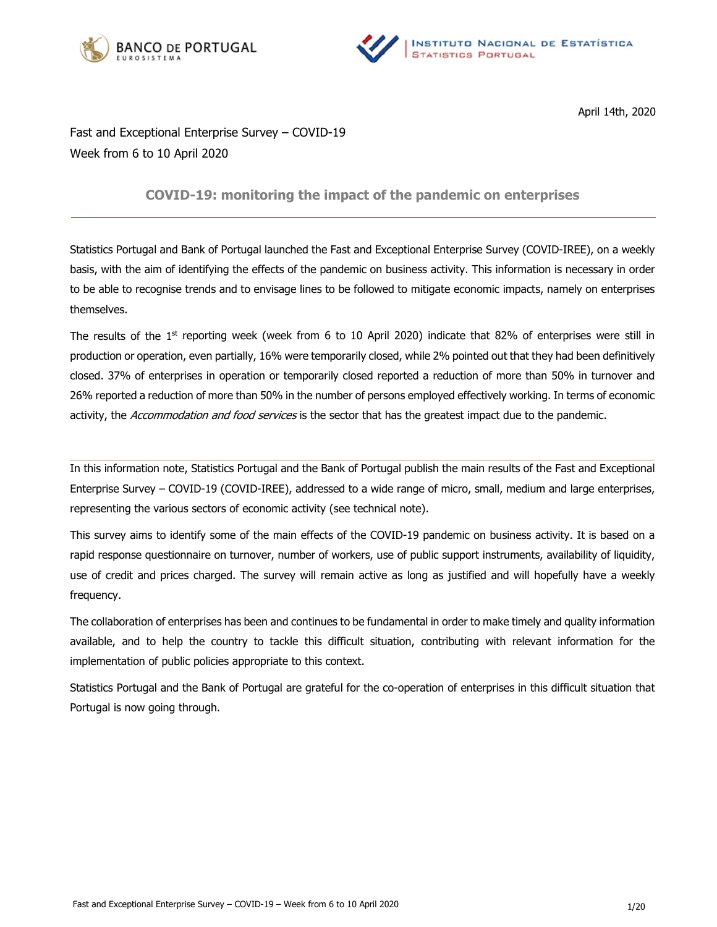



April 14th, 2020

# Fast and Exceptional Enterprise Survey – COVID-19 Week from 6 to 10 April 2020

# **COVID-19: monitoring the impact of the pandemic on enterprises**

Statistics Portugal and Bank of Portugal launched the Fast and Exceptional Enterprise Survey (COVID-IREE), on a weekly basis, with the aim of identifying the effects of the pandemic on business activity. This information is necessary in order to be able to recognise trends and to envisage lines to be followed to mitigate economic impacts, namely on enterprises themselves.

The results of the  $1<sup>st</sup>$  reporting week (week from 6 to 10 April 2020) indicate that 82% of enterprises were still in production or operation, even partially, 16% were temporarily closed, while 2% pointed out that they had been definitively closed. 37% of enterprises in operation or temporarily closed reported a reduction of more than 50% in turnover and 26% reported a reduction of more than 50% in the number of persons employed effectively working. In terms of economic activity, the Accommodation and food services is the sector that has the greatest impact due to the pandemic.

In this information note, Statistics Portugal and the Bank of Portugal publish the main results of the Fast and Exceptional Enterprise Survey – COVID-19 (COVID-IREE), addressed to a wide range of micro, small, medium and large enterprises, representing the various sectors of economic activity (see technical note).

This survey aims to identify some of the main effects of the COVID-19 pandemic on business activity. It is based on a rapid response questionnaire on turnover, number of workers, use of public support instruments, availability of liquidity, use of credit and prices charged. The survey will remain active as long as justified and will hopefully have a weekly frequency.

The collaboration of enterprises has been and continues to be fundamental in order to make timely and quality information available, and to help the country to tackle this difficult situation, contributing with relevant information for the implementation of public policies appropriate to this context.

Statistics Portugal and the Bank of Portugal are grateful for the co-operation of enterprises in this difficult situation that Portugal is now going through.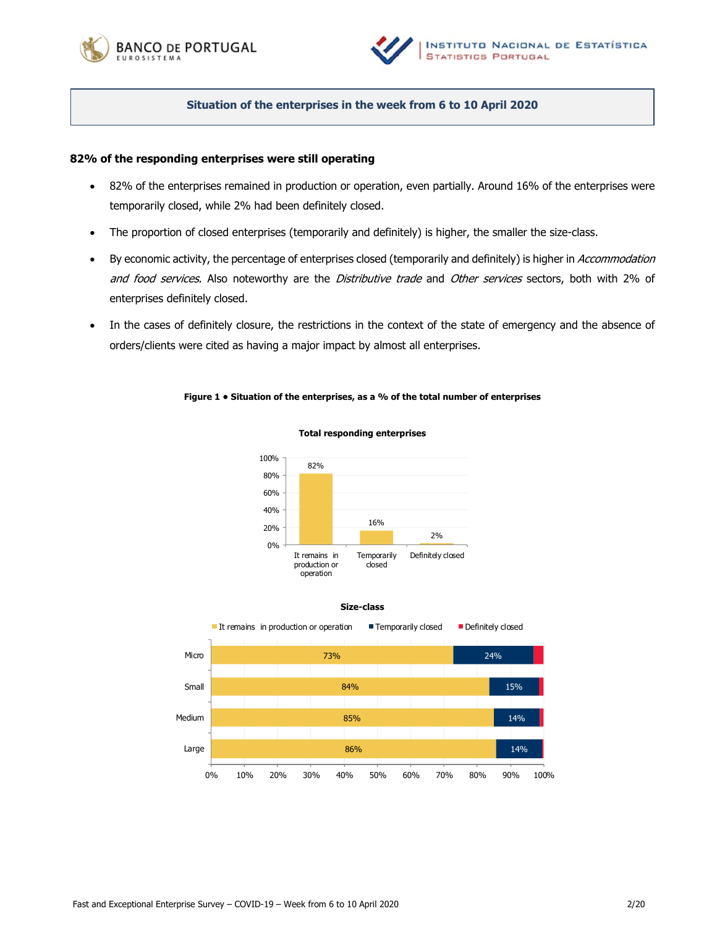



# **Situation of the enterprises in the week from 6 to 10 April 2020**

## **82% of the responding enterprises were still operating**

- 82% of the enterprises remained in production or operation, even partially. Around 16% of the enterprises were temporarily closed, while 2% had been definitely closed.
- The proportion of closed enterprises (temporarily and definitely) is higher, the smaller the size-class.
- By economic activity, the percentage of enterprises closed (temporarily and definitely) is higher in Accommodation and food services. Also noteworthy are the Distributive trade and Other services sectors, both with 2% of enterprises definitely closed.
- In the cases of definitely closure, the restrictions in the context of the state of emergency and the absence of orders/clients were cited as having a major impact by almost all enterprises.

### **Figure 1 • Situation of the enterprises, as a % of the total number of enterprises**



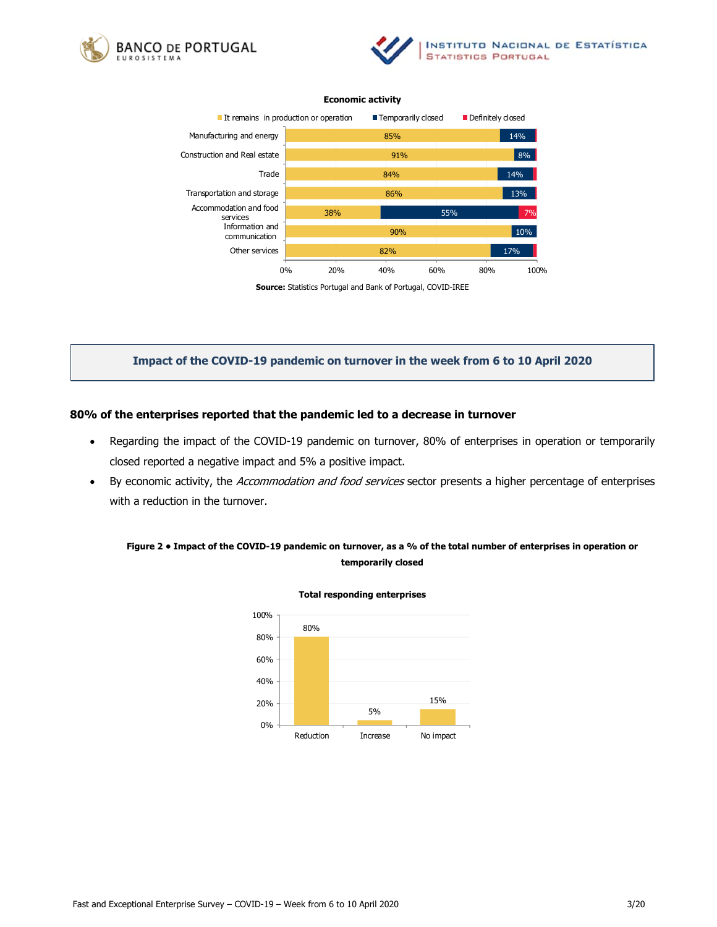





**Source:** Statistics Portugal and Bank of Portugal, COVID-IREE

# **Impact of the COVID-19 pandemic on turnover in the week from 6 to 10 April 2020**

### **80% of the enterprises reported that the pandemic led to a decrease in turnover**

- Regarding the impact of the COVID-19 pandemic on turnover, 80% of enterprises in operation or temporarily closed reported a negative impact and 5% a positive impact.
- By economic activity, the Accommodation and food services sector presents a higher percentage of enterprises with a reduction in the turnover.

# **Figure 2 • Impact of the COVID-19 pandemic on turnover, as a % of the total number of enterprises in operation or temporarily closed**

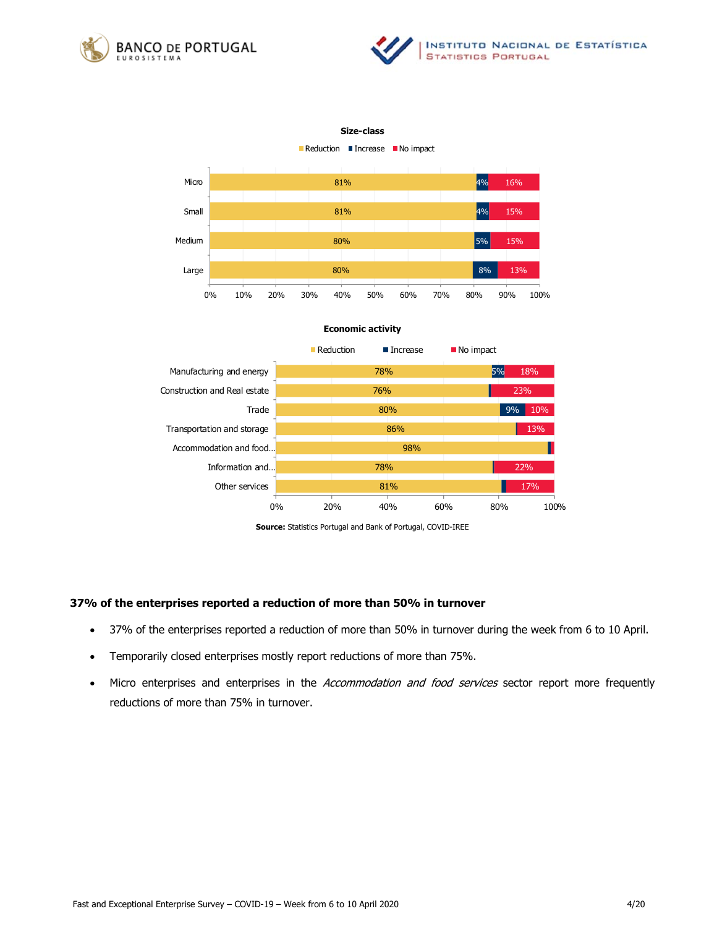



### **Size-class**









**Source:** Statistics Portugal and Bank of Portugal, COVID-IREE

### **37% of the enterprises reported a reduction of more than 50% in turnover**

- 37% of the enterprises reported a reduction of more than 50% in turnover during the week from 6 to 10 April.
- Temporarily closed enterprises mostly report reductions of more than 75%.
- Micro enterprises and enterprises in the Accommodation and food services sector report more frequently reductions of more than 75% in turnover.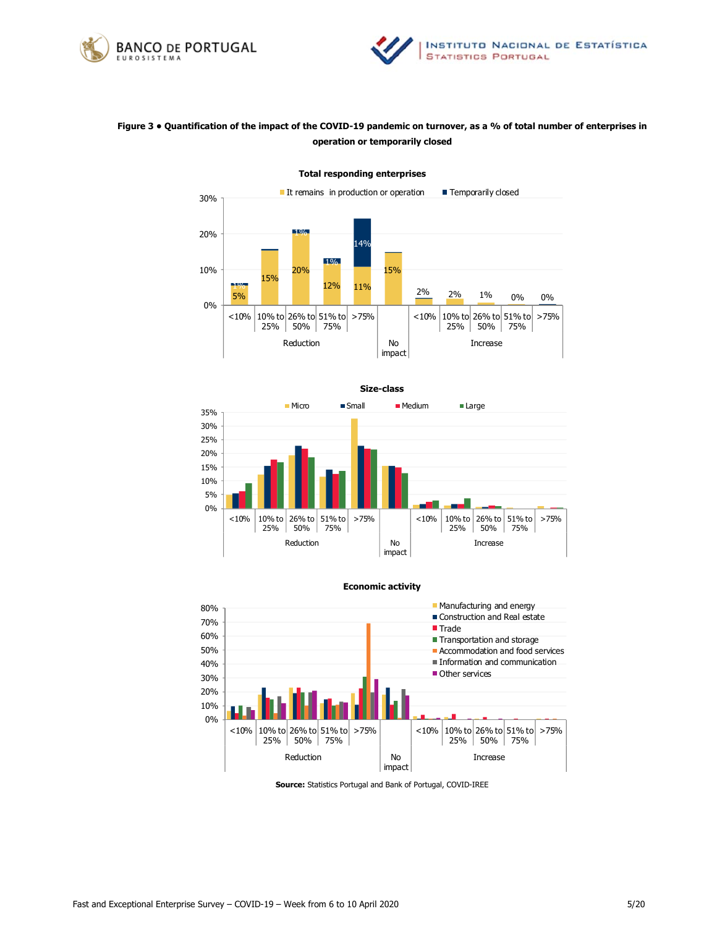



# **Figure 3 • Quantification of the impact of the COVID-19 pandemic on turnover, as a % of total number of enterprises in operation or temporarily closed**



**Total responding enterprises** 









**Source:** Statistics Portugal and Bank of Portugal, COVID-IREE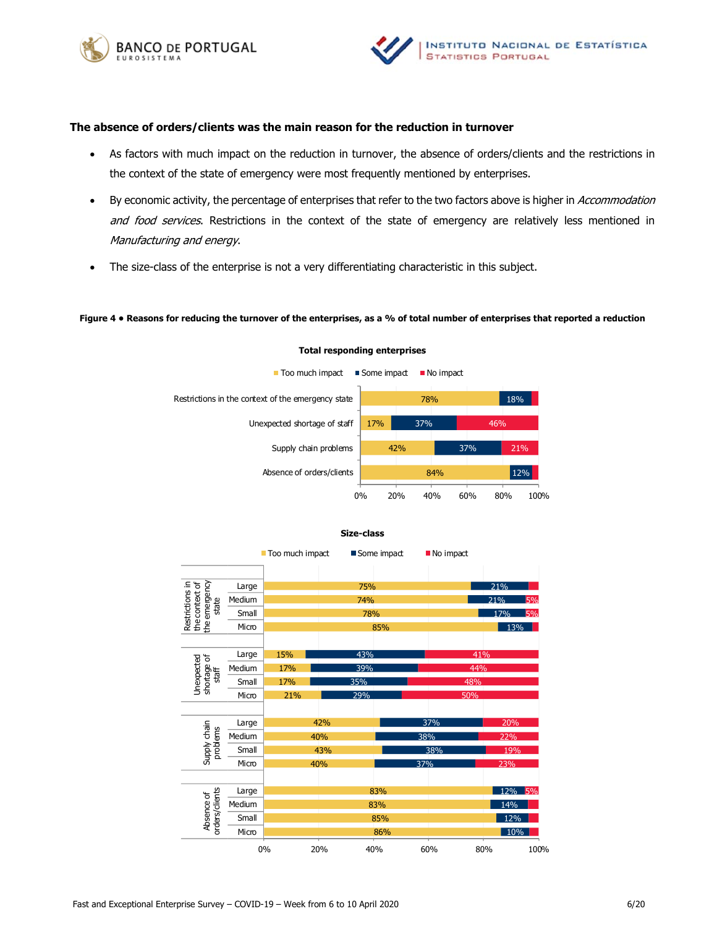



### **The absence of orders/clients was the main reason for the reduction in turnover**

- As factors with much impact on the reduction in turnover, the absence of orders/clients and the restrictions in the context of the state of emergency were most frequently mentioned by enterprises.
- By economic activity, the percentage of enterprises that refer to the two factors above is higher in Accommodation and food services. Restrictions in the context of the state of emergency are relatively less mentioned in Manufacturing and energy.
- The size-class of the enterprise is not a very differentiating characteristic in this subject.

### **Figure 4 • Reasons for reducing the turnover of the enterprises, as a % of total number of enterprises that reported a reduction**



#### **Total responding enterprises**



### **Size-class**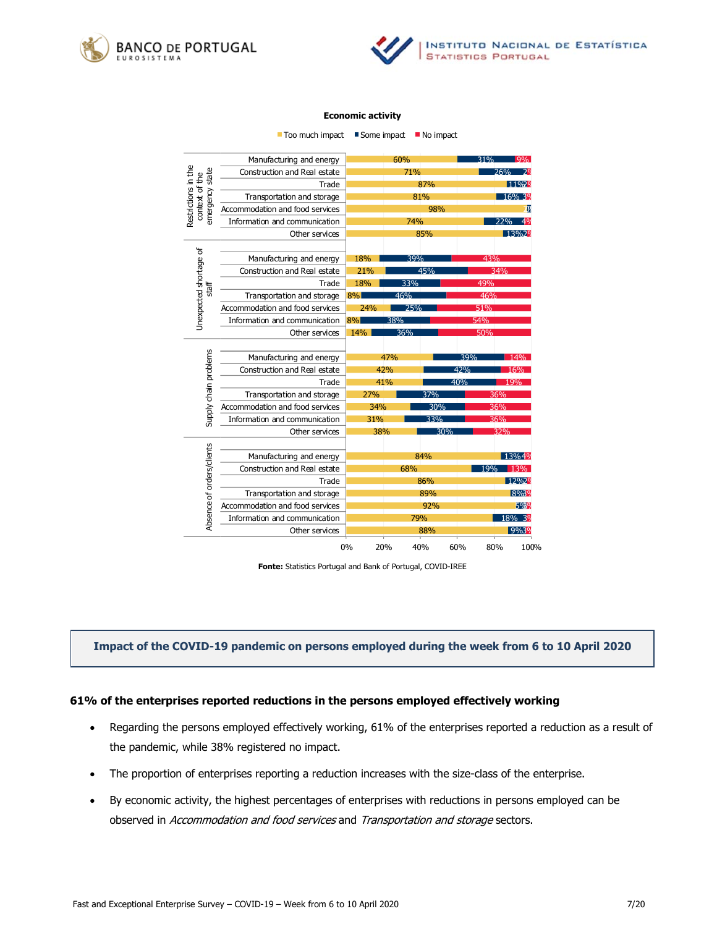



 $\blacksquare$  Too much impact  $\blacksquare$  Some impact  $\blacksquare$  No impact

|                                                          | Manufacturing and energy        |            | 60%        | 31% | $Q_0$             |  |
|----------------------------------------------------------|---------------------------------|------------|------------|-----|-------------------|--|
| Restrictions in the<br>emergency state<br>context of the | Construction and Real estate    | 71%        |            |     | 76%               |  |
|                                                          | Trade                           | 87%        |            |     | 11%20             |  |
|                                                          | Transportation and storage      | 81%        |            |     | 16% 3%            |  |
|                                                          | Accommodation and food services | 98%        |            |     |                   |  |
|                                                          | Information and communication   | 74%        |            |     | <b>22%</b><br>40/ |  |
|                                                          | Other services                  | 85%        |            |     | 13%29             |  |
|                                                          |                                 |            |            |     |                   |  |
| Unexpected shortage of<br>staff                          | Manufacturing and energy        | 18%<br>39% |            |     | 43%               |  |
|                                                          | Construction and Real estate    | 21%        | 45%<br>34% |     |                   |  |
|                                                          | Trade                           | 33%<br>18% |            | 49% |                   |  |
|                                                          | Transportation and storage      | 8%         | 46%        | 46% |                   |  |
|                                                          | Accommodation and food services | 24%        | 25%        | 51% |                   |  |
|                                                          | Information and communication   | 8%<br>38%  |            |     | 54%               |  |
|                                                          | Other services                  | 14%        | 36%        | 50% |                   |  |
|                                                          |                                 |            |            |     |                   |  |
| Supply chain problems                                    | Manufacturing and energy        | 47%        |            | 39% | 14%               |  |
|                                                          | Construction and Real estate    | 42%        |            | 42% | 16%               |  |
|                                                          | Trade                           | 41%        |            | 40% | 19%               |  |
|                                                          | Transportation and storage      | 27%        | 37%        |     | 36%               |  |
|                                                          | Accommodation and food services | 34%        | 30%        |     | 36%               |  |
|                                                          | Information and communication   | 31%        | 33%        |     | 36%               |  |
|                                                          | Other services                  | 38%        |            | 30% | 32%               |  |
|                                                          |                                 |            |            |     |                   |  |
| Absence of orders/clients                                | Manufacturing and energy        | 84%        |            |     | 13%4%             |  |
|                                                          | Construction and Real estate    | 68%        |            |     | 19%<br>13%        |  |
|                                                          | Trade                           | 86%        |            |     | 12%29             |  |
|                                                          | Transportation and storage      | 89%        |            |     | 8%39              |  |
|                                                          | Accommodation and food services | 92%        |            |     | 5020              |  |
|                                                          | Information and communication   |            | 79%        |     | 18% 3%            |  |
|                                                          | Other services                  |            | 88%        |     | 9%3%              |  |
|                                                          |                                 | 0%<br>20%  | 40%        | 60% | 80%<br>100%       |  |

**Fonte:** Statistics Portugal and Bank of Portugal, COVID-IREE

# **Impact of the COVID-19 pandemic on persons employed during the week from 6 to 10 April 2020**

## **61% of the enterprises reported reductions in the persons employed effectively working**

- Regarding the persons employed effectively working, 61% of the enterprises reported a reduction as a result of the pandemic, while 38% registered no impact.
- The proportion of enterprises reporting a reduction increases with the size-class of the enterprise.
- By economic activity, the highest percentages of enterprises with reductions in persons employed can be observed in Accommodation and food services and Transportation and storage sectors.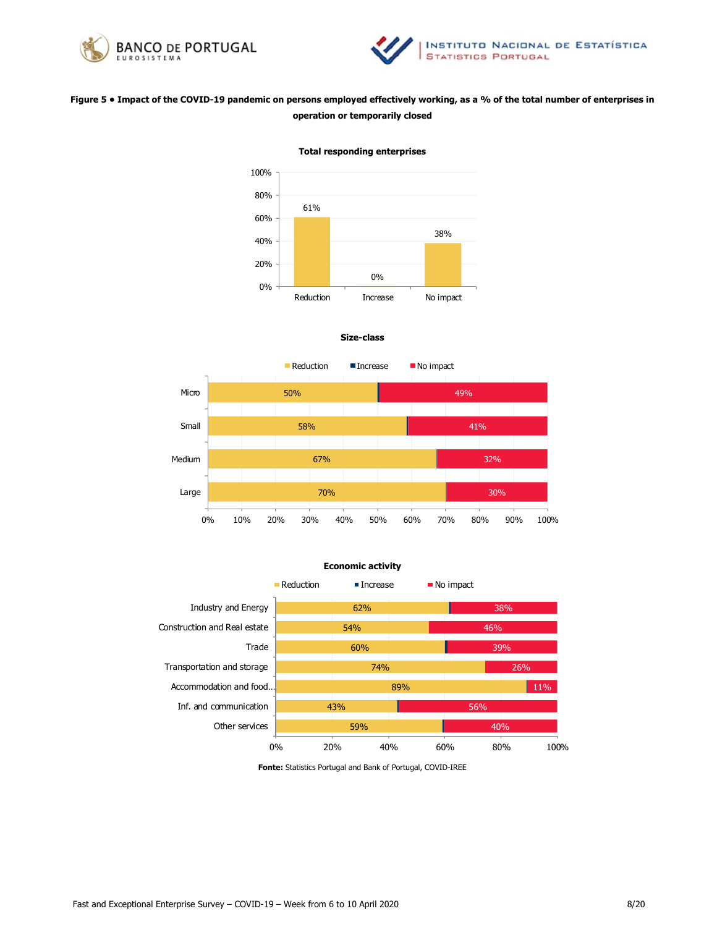



# **Figure 5 • Impact of the COVID-19 pandemic on persons employed effectively working, as a % of the total number of enterprises in operation or temporarily closed**



**Total responding enterprises**







**Fonte:** Statistics Portugal and Bank of Portugal, COVID-IREE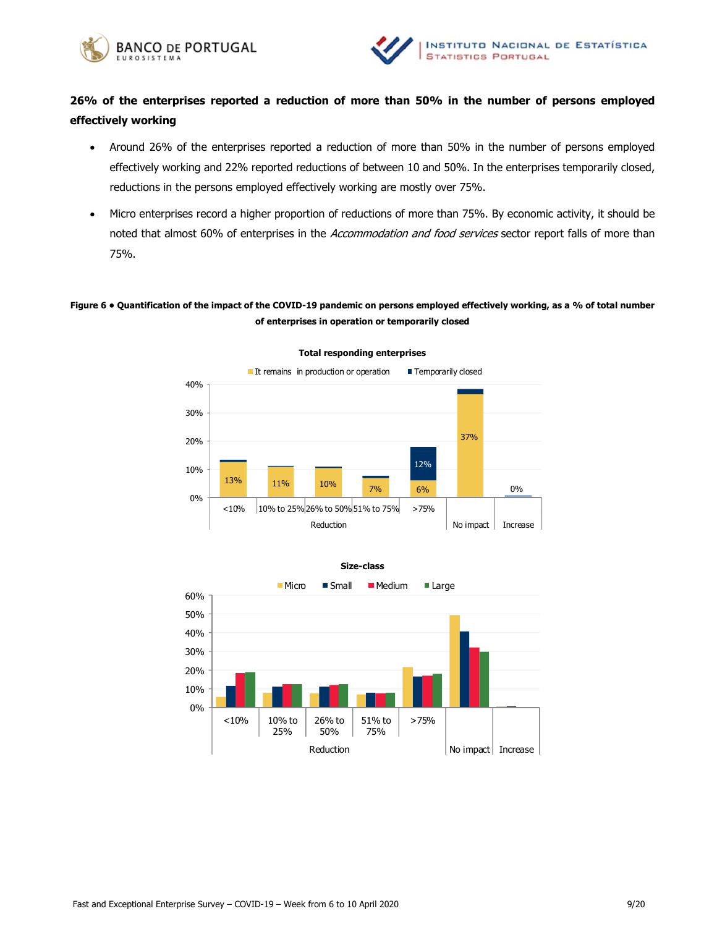



# **26% of the enterprises reported a reduction of more than 50% in the number of persons employed effectively working**

- Around 26% of the enterprises reported a reduction of more than 50% in the number of persons employed effectively working and 22% reported reductions of between 10 and 50%. In the enterprises temporarily closed, reductions in the persons employed effectively working are mostly over 75%.
- Micro enterprises record a higher proportion of reductions of more than 75%. By economic activity, it should be noted that almost 60% of enterprises in the Accommodation and food services sector report falls of more than 75%.

# **Figure 6 • Quantification of the impact of the COVID-19 pandemic on persons employed effectively working, as a % of total number of enterprises in operation or temporarily closed**



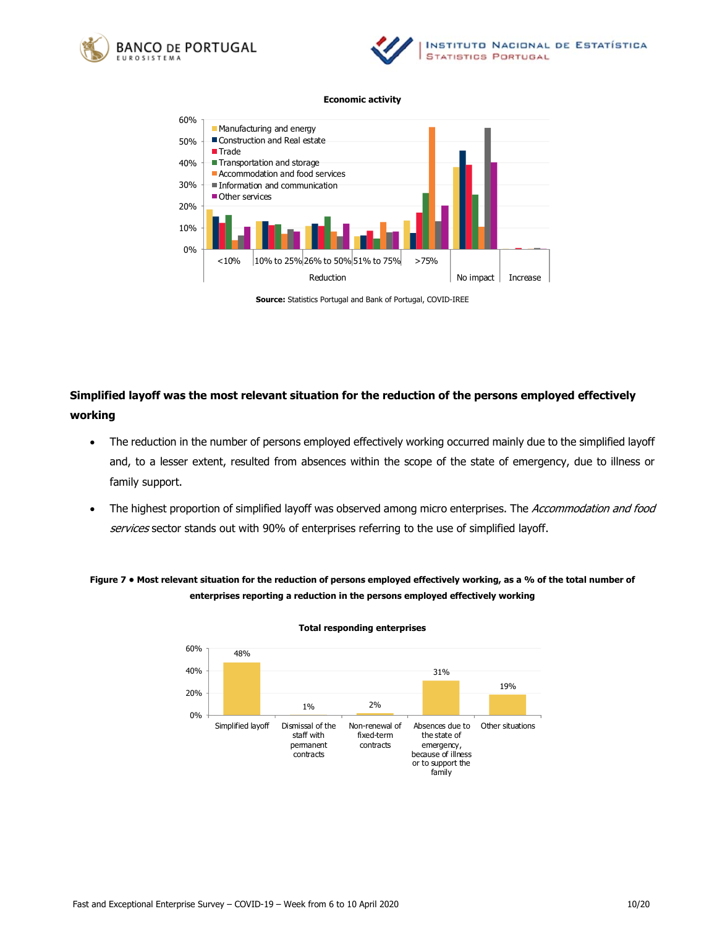





**Source:** Statistics Portugal and Bank of Portugal, COVID-IREE

# **Simplified layoff was the most relevant situation for the reduction of the persons employed effectively working**

- The reduction in the number of persons employed effectively working occurred mainly due to the simplified layoff and, to a lesser extent, resulted from absences within the scope of the state of emergency, due to illness or family support.
- The highest proportion of simplified layoff was observed among micro enterprises. The Accommodation and food services sector stands out with 90% of enterprises referring to the use of simplified layoff.

# **Figure 7 • Most relevant situation for the reduction of persons employed effectively working, as a % of the total number of enterprises reporting a reduction in the persons employed effectively working**

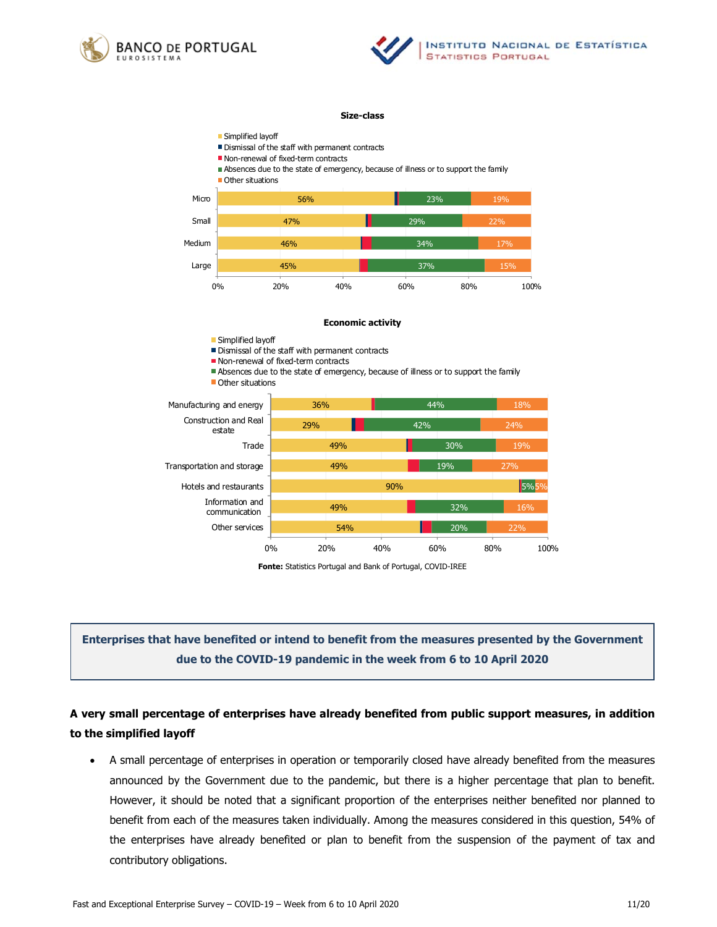



#### **Size-class**



**Fonte:** Statistics Portugal and Bank of Portugal, COVID-IREE

# **Enterprises that have benefited or intend to benefit from the measures presented by the Government due to the COVID-19 pandemic in the week from 6 to 10 April 2020**

# **A very small percentage of enterprises have already benefited from public support measures, in addition to the simplified layoff**

 A small percentage of enterprises in operation or temporarily closed have already benefited from the measures announced by the Government due to the pandemic, but there is a higher percentage that plan to benefit. However, it should be noted that a significant proportion of the enterprises neither benefited nor planned to benefit from each of the measures taken individually. Among the measures considered in this question, 54% of the enterprises have already benefited or plan to benefit from the suspension of the payment of tax and contributory obligations.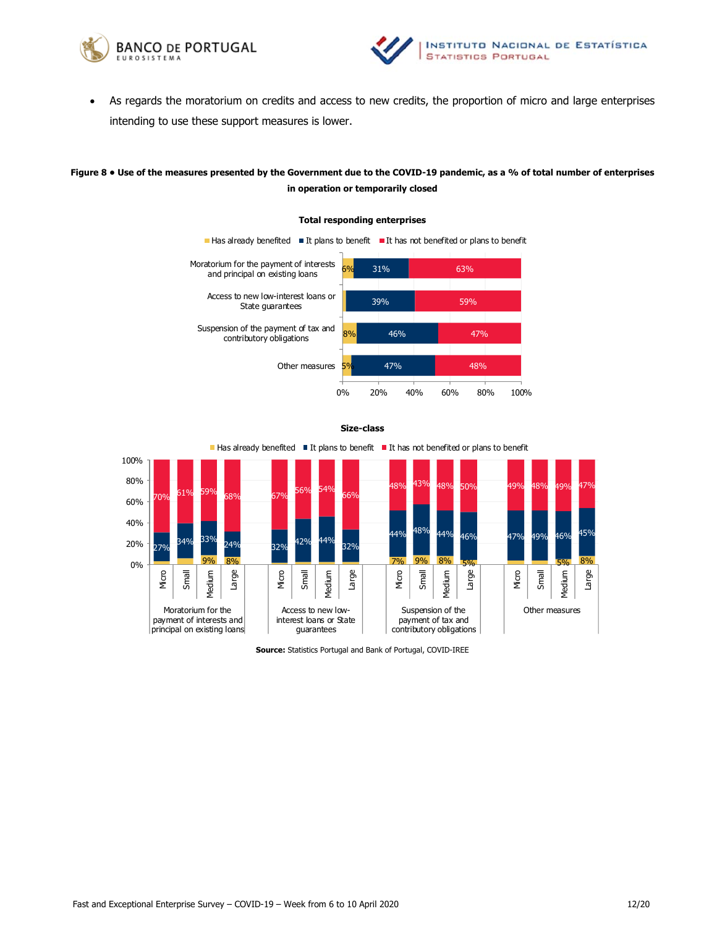



 As regards the moratorium on credits and access to new credits, the proportion of micro and large enterprises intending to use these support measures is lower.

# **Figure 8 • Use of the measures presented by the Government due to the COVID-19 pandemic, as a % of total number of enterprises in operation or temporarily closed**







**Source:** Statistics Portugal and Bank of Portugal, COVID-IREE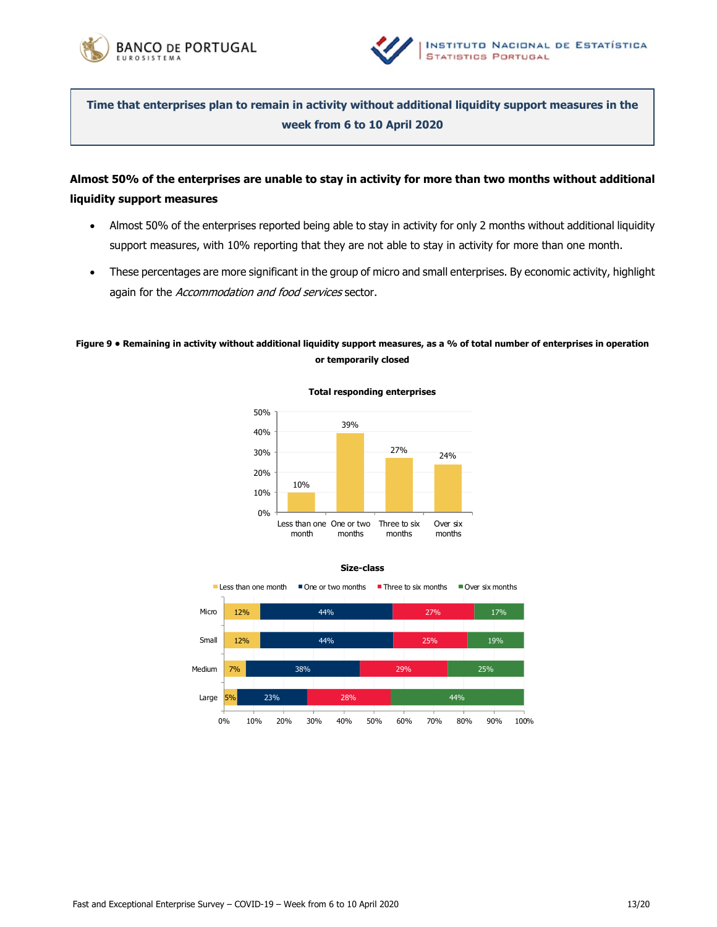



**Time that enterprises plan to remain in activity without additional liquidity support measures in the week from 6 to 10 April 2020**

# **Almost 50% of the enterprises are unable to stay in activity for more than two months without additional liquidity support measures**

- Almost 50% of the enterprises reported being able to stay in activity for only 2 months without additional liquidity support measures, with 10% reporting that they are not able to stay in activity for more than one month.
- These percentages are more significant in the group of micro and small enterprises. By economic activity, highlight again for the Accommodation and food services sector.

# **Figure 9 • Remaining in activity without additional liquidity support measures, as a % of total number of enterprises in operation or temporarily closed**



**Total responding enterprises** 



**Size-class**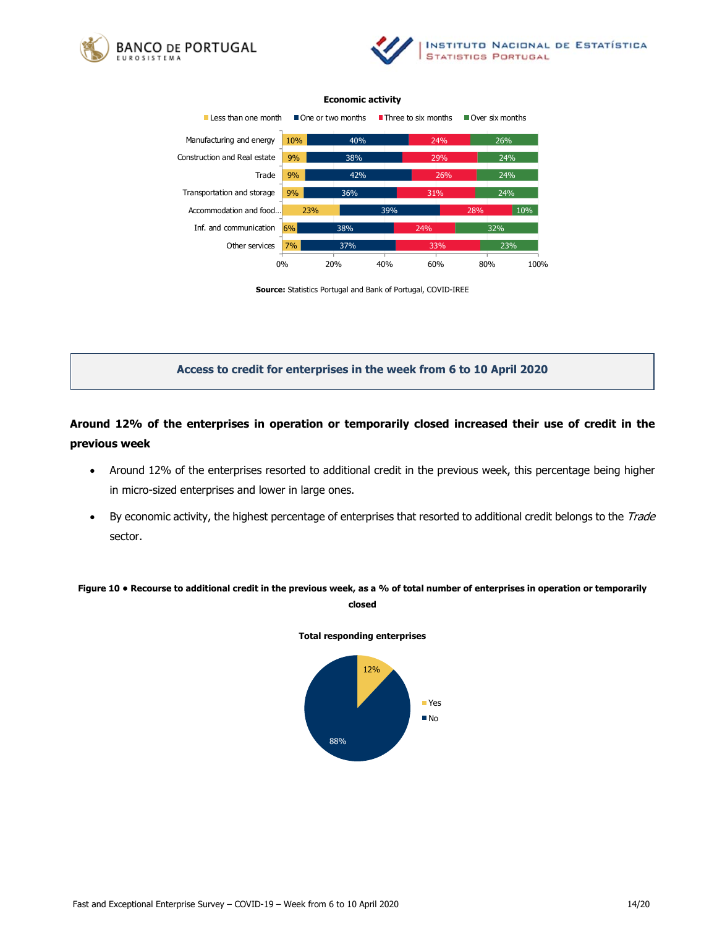





**Source:** Statistics Portugal and Bank of Portugal, COVID-IREE

## **Access to credit for enterprises in the week from 6 to 10 April 2020**

# **Around 12% of the enterprises in operation or temporarily closed increased their use of credit in the previous week**

- Around 12% of the enterprises resorted to additional credit in the previous week, this percentage being higher in micro-sized enterprises and lower in large ones.
- By economic activity, the highest percentage of enterprises that resorted to additional credit belongs to the Trade sector.

**Figure 10 • Recourse to additional credit in the previous week, as a % of total number of enterprises in operation or temporarily closed** 

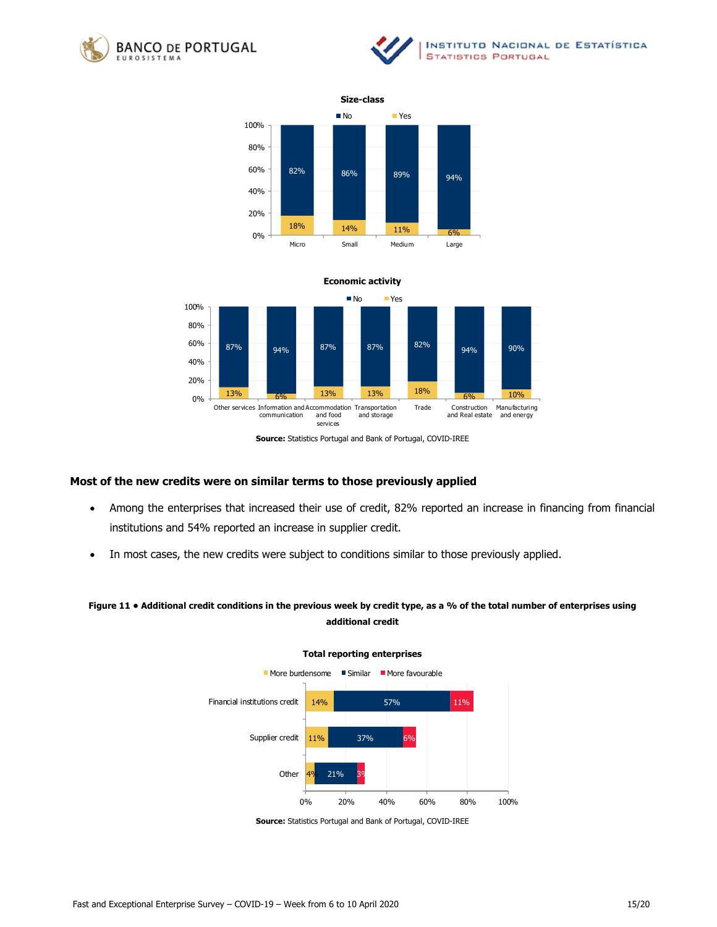







**Source:** Statistics Portugal and Bank of Portugal, COVID-IREE

## **Most of the new credits were on similar terms to those previously applied**

- Among the enterprises that increased their use of credit, 82% reported an increase in financing from financial institutions and 54% reported an increase in supplier credit.
- In most cases, the new credits were subject to conditions similar to those previously applied.

# **Figure 11 • Additional credit conditions in the previous week by credit type, as a % of the total number of enterprises using additional credit**



**Source:** Statistics Portugal and Bank of Portugal, COVID-IREE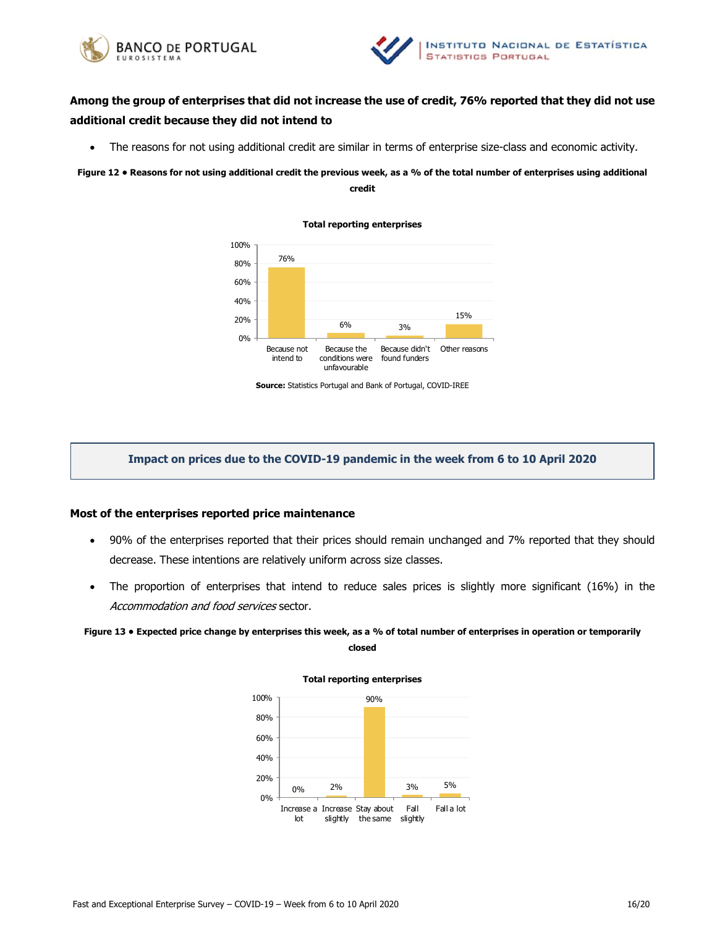



# **Among the group of enterprises that did not increase the use of credit, 76% reported that they did not use additional credit because they did not intend to**

The reasons for not using additional credit are similar in terms of enterprise size-class and economic activity.

**Figure 12 • Reasons for not using additional credit the previous week, as a % of the total number of enterprises using additional** 

**Total reporting enterprises** 

## **credit**



**Source:** Statistics Portugal and Bank of Portugal, COVID-IREE

# **Impact on prices due to the COVID-19 pandemic in the week from 6 to 10 April 2020**

### **Most of the enterprises reported price maintenance**

- 90% of the enterprises reported that their prices should remain unchanged and 7% reported that they should decrease. These intentions are relatively uniform across size classes.
- The proportion of enterprises that intend to reduce sales prices is slightly more significant (16%) in the Accommodation and food services sector.

# **Figure 13 • Expected price change by enterprises this week, as a % of total number of enterprises in operation or temporarily**

**closed** 

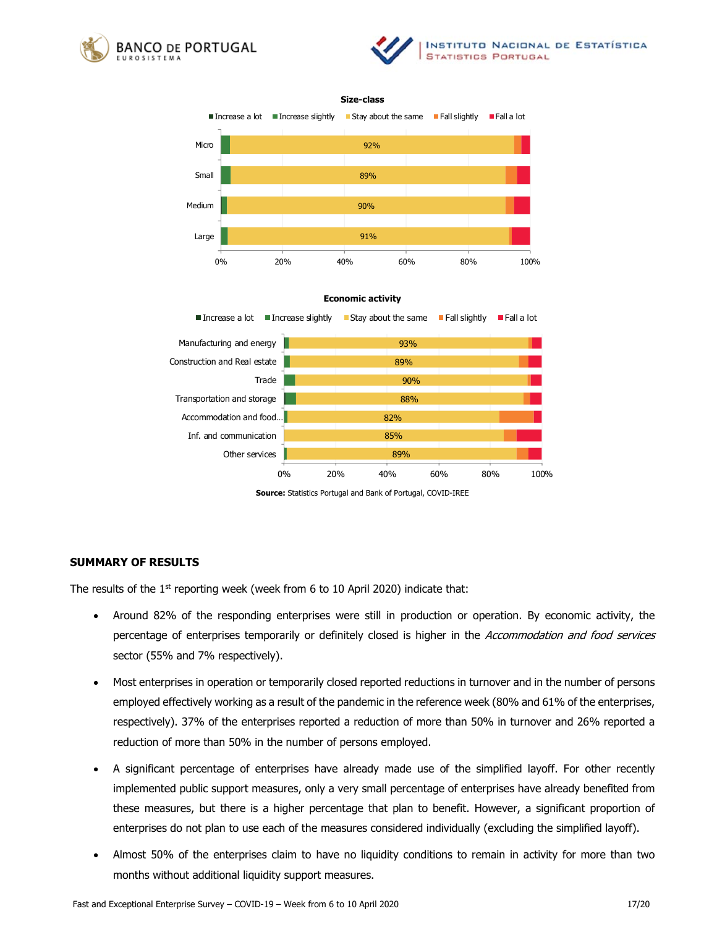







**Source:** Statistics Portugal and Bank of Portugal, COVID-IREE

## **SUMMARY OF RESULTS**

The results of the  $1<sup>st</sup>$  reporting week (week from 6 to 10 April 2020) indicate that:

- Around 82% of the responding enterprises were still in production or operation. By economic activity, the percentage of enterprises temporarily or definitely closed is higher in the Accommodation and food services sector (55% and 7% respectively).
- Most enterprises in operation or temporarily closed reported reductions in turnover and in the number of persons employed effectively working as a result of the pandemic in the reference week (80% and 61% of the enterprises, respectively). 37% of the enterprises reported a reduction of more than 50% in turnover and 26% reported a reduction of more than 50% in the number of persons employed.
- A significant percentage of enterprises have already made use of the simplified layoff. For other recently implemented public support measures, only a very small percentage of enterprises have already benefited from these measures, but there is a higher percentage that plan to benefit. However, a significant proportion of enterprises do not plan to use each of the measures considered individually (excluding the simplified layoff).
- Almost 50% of the enterprises claim to have no liquidity conditions to remain in activity for more than two months without additional liquidity support measures.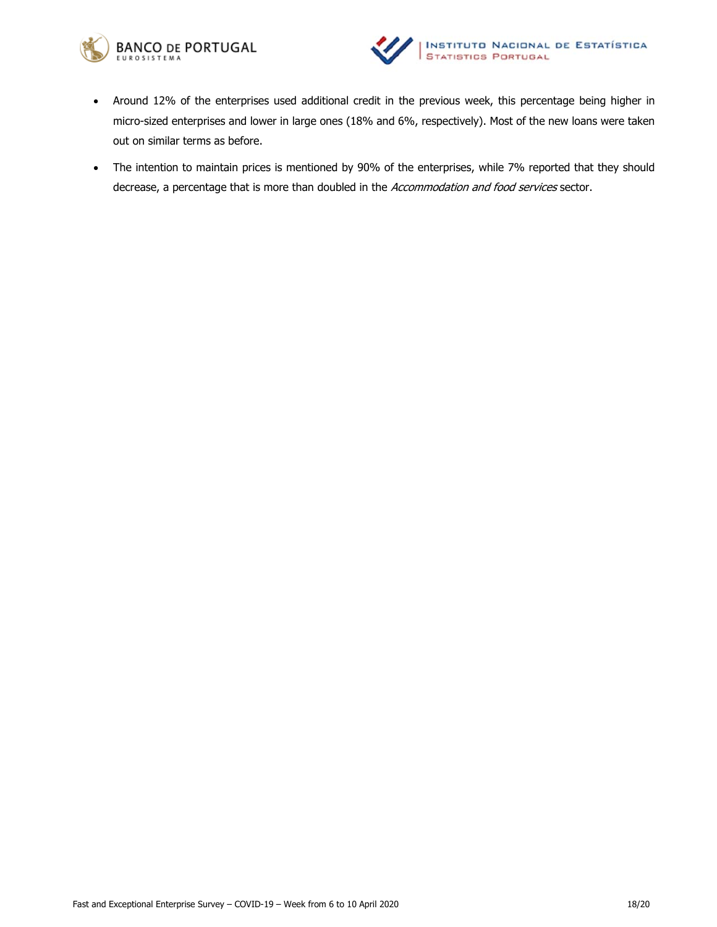



- Around 12% of the enterprises used additional credit in the previous week, this percentage being higher in micro-sized enterprises and lower in large ones (18% and 6%, respectively). Most of the new loans were taken out on similar terms as before.
- The intention to maintain prices is mentioned by 90% of the enterprises, while 7% reported that they should decrease, a percentage that is more than doubled in the Accommodation and food services sector.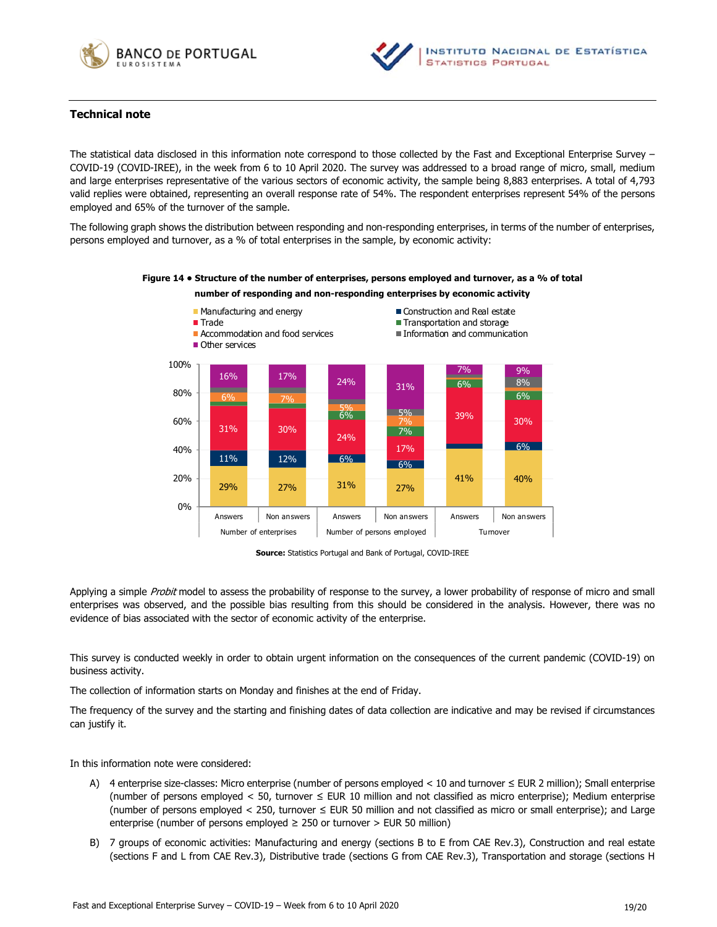



# **Technical note**

The statistical data disclosed in this information note correspond to those collected by the Fast and Exceptional Enterprise Survey – COVID-19 (COVID-IREE), in the week from 6 to 10 April 2020. The survey was addressed to a broad range of micro, small, medium and large enterprises representative of the various sectors of economic activity, the sample being 8,883 enterprises. A total of 4,793 valid replies were obtained, representing an overall response rate of 54%. The respondent enterprises represent 54% of the persons employed and 65% of the turnover of the sample.

The following graph shows the distribution between responding and non-responding enterprises, in terms of the number of enterprises, persons employed and turnover, as a % of total enterprises in the sample, by economic activity:

### **Figure 14 • Structure of the number of enterprises, persons employed and turnover, as a % of total**

# **number of responding and non-responding enterprises by economic activity**



**Source:** Statistics Portugal and Bank of Portugal, COVID-IREE

Applying a simple Probit model to assess the probability of response to the survey, a lower probability of response of micro and small enterprises was observed, and the possible bias resulting from this should be considered in the analysis. However, there was no evidence of bias associated with the sector of economic activity of the enterprise.

This survey is conducted weekly in order to obtain urgent information on the consequences of the current pandemic (COVID-19) on business activity.

The collection of information starts on Monday and finishes at the end of Friday.

The frequency of the survey and the starting and finishing dates of data collection are indicative and may be revised if circumstances can justify it.

In this information note were considered:

- A) 4 enterprise size-classes: Micro enterprise (number of persons employed < 10 and turnover ≤ EUR 2 million); Small enterprise (number of persons employed < 50, turnover ≤ EUR 10 million and not classified as micro enterprise); Medium enterprise (number of persons employed < 250, turnover ≤ EUR 50 million and not classified as micro or small enterprise); and Large enterprise (number of persons employed  $\geq$  250 or turnover  $>$  EUR 50 million)
- B) 7 groups of economic activities: Manufacturing and energy (sections B to E from CAE Rev.3), Construction and real estate (sections F and L from CAE Rev.3), Distributive trade (sections G from CAE Rev.3), Transportation and storage (sections H